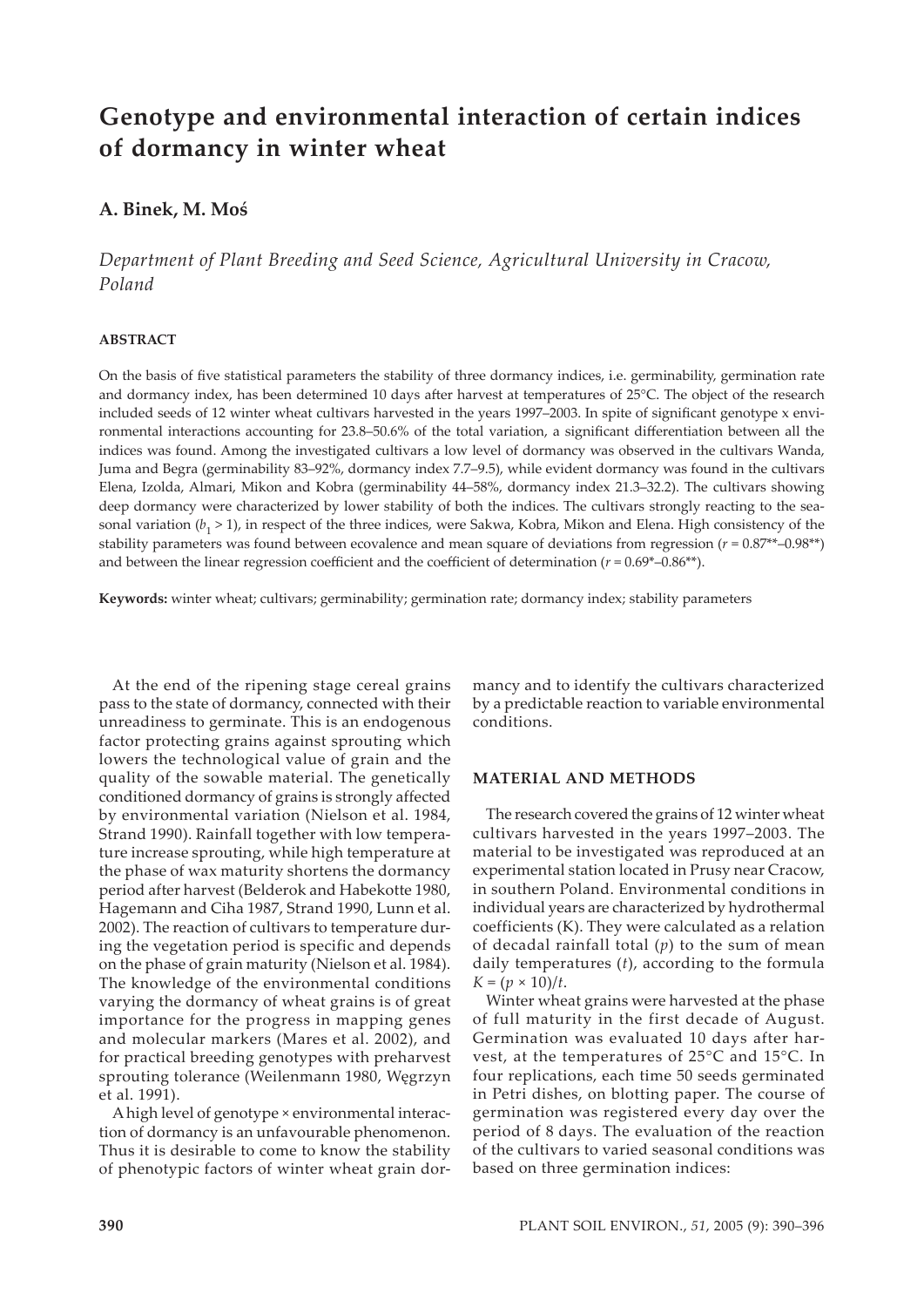# **Genotype and environmental interaction of certain indices of dormancy in winter wheat**

# **A. Binek, M. Moś**

*Department of Plant Breeding and Seed Science, Agricultural University in Cracow, Poland*

#### **ABSTRACT**

On the basis of five statistical parameters the stability of three dormancy indices, i.e. germinability, germination rate and dormancy index, has been determined 10 days after harvest at temperatures of 25°C. The object of the research included seeds of 12 winter wheat cultivars harvested in the years 1997–2003. In spite of significant genotype x environmental interactions accounting for 23.8–50.6% of the total variation, a significant differentiation between all the indices was found. Among the investigated cultivars a low level of dormancy was observed in the cultivars Wanda, Juma and Begra (germinability 83–92%, dormancy index 7.7–9.5), while evident dormancy was found in the cultivars Elena, Izolda, Almari, Mikon and Kobra (germinability 44–58%, dormancy index 21.3–32.2). The cultivars showing deep dormancy were characterized by lower stability of both the indices. The cultivars strongly reacting to the seasonal variation ( $b_1$  > 1), in respect of the three indices, were Sakwa, Kobra, Mikon and Elena. High consistency of the stability parameters was found between ecovalence and mean square of deviations from regression (*r* = 0.87\*\*–0.98\*\*) and between the linear regression coefficient and the coefficient of determination ( $r = 0.69^{\circ} - 0.86^{\circ}$ \*).

**Keywords:** winter wheat; cultivars; germinability; germination rate; dormancy index; stability parameters

At the end of the ripening stage cereal grains pass to the state of dormancy, connected with their unreadiness to germinate. This is an endogenous factor protecting grains against sprouting which lowers the technological value of grain and the quality of the sowable material. The genetically conditioned dormancy of grains is strongly affected by environmental variation (Nielson et al. 1984, Strand 1990). Rainfall together with low temperature increase sprouting, while high temperature at the phase of wax maturity shortens the dormancy period after harvest (Belderok and Habekotte 1980, Hagemann and Ciha 1987, Strand 1990, Lunn et al. 2002). The reaction of cultivars to temperature during the vegetation period is specific and depends on the phase of grain maturity (Nielson et al. 1984). The knowledge of the environmental conditions varying the dormancy of wheat grains is of great importance for the progress in mapping genes and molecular markers (Mares et al. 2002), and for practical breeding genotypes with preharvest sprouting tolerance (Weilenmann 1980, Węgrzyn et al. 1991).

A high level of genotype × environmental interaction of dormancy is an unfavourable phenomenon. Thus it is desirable to come to know the stability of phenotypic factors of winter wheat grain dormancy and to identify the cultivars characterized by a predictable reaction to variable environmental conditions.

#### **MATERIAL AND METHODS**

The research covered the grains of 12 winter wheat cultivars harvested in the years 1997–2003. The material to be investigated was reproduced at an experimental station located in Prusy near Cracow, in southern Poland. Environmental conditions in individual years are characterized by hydrothermal coefficients (K). They were calculated as a relation of decadal rainfall total (*p*) to the sum of mean daily temperatures (*t*), according to the formula  $K = (p \times 10)/t$ .

Winter wheat grains were harvested at the phase of full maturity in the first decade of August. Germination was evaluated 10 days after harvest, at the temperatures of 25°C and 15°C. In four replications, each time 50 seeds germinated in Petri dishes, on blotting paper. The course of germination was registered every day over the period of 8 days. The evaluation of the reaction of the cultivars to varied seasonal conditions was based on three germination indices: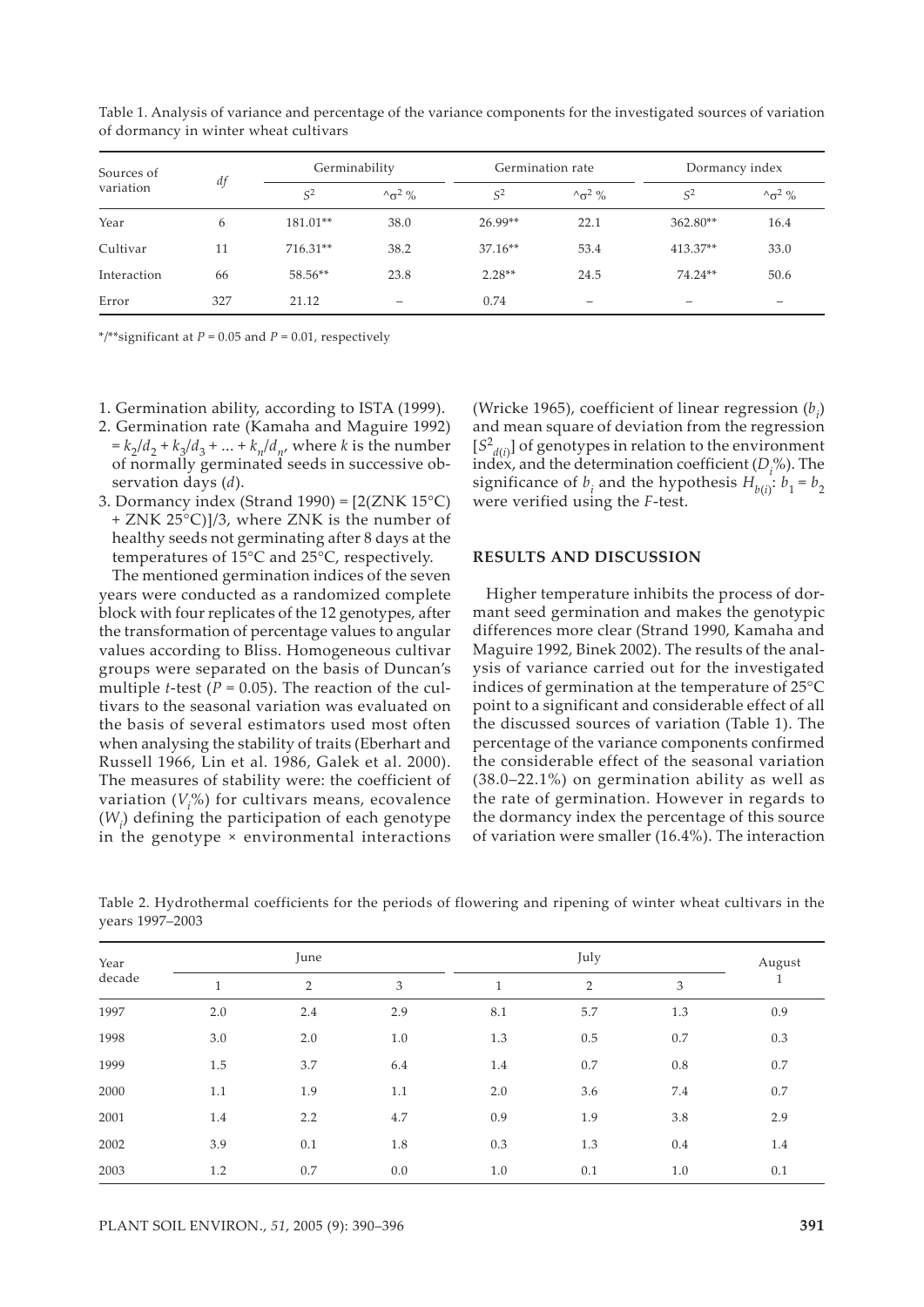| Sources of<br>variation |     | Germinability |                   | Germination rate |                          | Dormancy index           |                          |
|-------------------------|-----|---------------|-------------------|------------------|--------------------------|--------------------------|--------------------------|
|                         | df  | $S^2$         | $\sim \sigma^2$ % | S <sup>2</sup>   | $\sim \sigma^2$ %        | $S^2$                    | $\sim \sigma^2$ %        |
| Year                    | 6   | 181.01**      | 38.0              | $26.99**$        | 22.1                     | $362.80**$               | 16.4                     |
| Cultivar                | 11  | 716.31**      | 38.2              | $37.16**$        | 53.4                     | 413.37**                 | 33.0                     |
| Interaction             | 66  | 58.56**       | 23.8              | $2.28**$         | 24.5                     | 74.24**                  | 50.6                     |
| Error                   | 327 | 21.12         | $\qquad \qquad$   | 0.74             | $\overline{\phantom{0}}$ | $\overline{\phantom{0}}$ | $\overline{\phantom{0}}$ |

Table 1. Analysis of variance and percentage of the variance components for the investigated sources of variation of dormancy in winter wheat cultivars

\*/\*\*significant at *P* = 0.05 and *P* = 0.01, respectively

- 1. Germination ability, according to ISTA (1999).
- 2. Germination rate (Kamaha and Maguire 1992)  $= k_2/d_2 + k_3/d_3 + ... + k_n/d_n$ , where *k* is the number of normally germinated seeds in successive observation days (*d*).
- 3. Dormancy index (Strand 1990) =  $[2(ZNK 15°C)]$ + ZNK 25°C)]/3, where ZNK is the number of healthy seeds not germinating after 8 days at the temperatures of 15°C and 25°C, respectively.

The mentioned germination indices of the seven years were conducted as a randomized complete block with four replicates of the 12 genotypes, after the transformation of percentage values to angular values according to Bliss. Homogeneous cultivar groups were separated on the basis of Duncan's multiple *t*-test ( $P = 0.05$ ). The reaction of the cultivars to the seasonal variation was evaluated on the basis of several estimators used most often when analysing the stability of traits (Eberhart and Russell 1966, Lin et al. 1986, Galek et al. 2000). The measures of stability were: the coefficient of variation  $(V_i^{\phi})$  for cultivars means, ecovalence (*Wi* ) defining the participation of each genotype in the genotype × environmental interactions

(Wricke 1965), coefficient of linear regression  $(b_i)$ and mean square of deviation from the regression  $[S^2_{d(i)}]$  of genotypes in relation to the environment index, and the determination coefficient (*Di* %). The significance of  $b_i$  and the hypothesis  $H_{b(i)}$ :  $b_1 = b_2$ were verified using the *F*-test.

#### **RESULTS AND DISCUSSION**

Higher temperature inhibits the process of dormant seed germination and makes the genotypic differences more clear (Strand 1990, Kamaha and Maguire 1992, Binek 2002). The results of the analysis of variance carried out for the investigated indices of germination at the temperature of 25°C point to a significant and considerable effect of all the discussed sources of variation (Table 1). The percentage of the variance components confirmed the considerable effect of the seasonal variation (38.0–22.1%) on germination ability as well as the rate of germination. However in regards to the dormancy index the percentage of this source of variation were smaller (16.4%). The interaction

| Year<br>decade |     | June           |     |     | July |         |     |
|----------------|-----|----------------|-----|-----|------|---------|-----|
|                | 1   | $\overline{2}$ | 3   | 1   | 2    | 3       | 1   |
| 1997           | 2.0 | 2.4            | 2.9 | 8.1 | 5.7  | 1.3     | 0.9 |
| 1998           | 3.0 | 2.0            | 1.0 | 1.3 | 0.5  | 0.7     | 0.3 |
| 1999           | 1.5 | 3.7            | 6.4 | 1.4 | 0.7  | $0.8\,$ | 0.7 |
| 2000           | 1.1 | 1.9            | 1.1 | 2.0 | 3.6  | 7.4     | 0.7 |
| 2001           | 1.4 | 2.2            | 4.7 | 0.9 | 1.9  | 3.8     | 2.9 |
| 2002           | 3.9 | 0.1            | 1.8 | 0.3 | 1.3  | 0.4     | 1.4 |
| 2003           | 1.2 | 0.7            | 0.0 | 1.0 | 0.1  | 1.0     | 0.1 |

Table 2. Hydrothermal coefficients for the periods of flowering and ripening of winter wheat cultivars in the years 1997–2003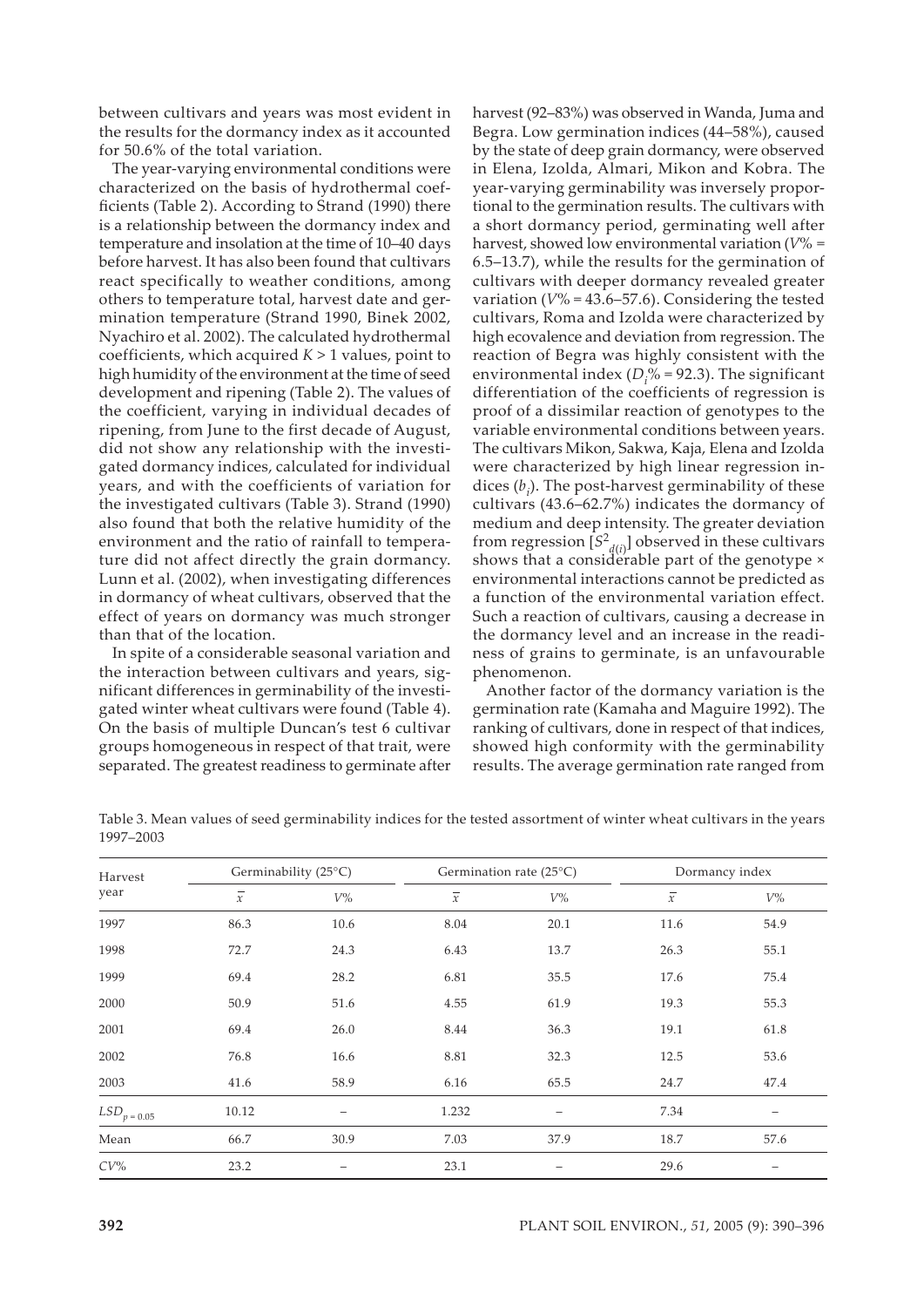between cultivars and years was most evident in the results for the dormancy index as it accounted for 50.6% of the total variation.

The year-varying environmental conditions were characterized on the basis of hydrothermal coefficients (Table 2). According to Strand (1990) there is a relationship between the dormancy index and temperature and insolation at the time of 10–40 days before harvest. It has also been found that cultivars react specifically to weather conditions, among others to temperature total, harvest date and germination temperature (Strand 1990, Binek 2002, Nyachiro et al. 2002). The calculated hydrothermal coefficients, which acquired *K* > 1 values, point to high humidity of the environment at the time of seed development and ripening (Table 2). The values of the coefficient, varying in individual decades of ripening, from June to the first decade of August, did not show any relationship with the investigated dormancy indices, calculated for individual years, and with the coefficients of variation for the investigated cultivars (Table 3). Strand (1990) also found that both the relative humidity of the environment and the ratio of rainfall to temperature did not affect directly the grain dormancy. Lunn et al. (2002), when investigating differences in dormancy of wheat cultivars, observed that the effect of years on dormancy was much stronger than that of the location.

In spite of a considerable seasonal variation and the interaction between cultivars and years, significant differences in germinability of the investigated winter wheat cultivars were found (Table 4). On the basis of multiple Duncan's test 6 cultivar groups homogeneous in respect of that trait, were separated. The greatest readiness to germinate after harvest (92–83%) was observed in Wanda, Juma and Begra. Low germination indices (44–58%), caused by the state of deep grain dormancy, were observed in Elena, Izolda, Almari, Mikon and Kobra. The year-varying germinability was inversely proportional to the germination results. The cultivars with a short dormancy period, germinating well after harvest, showed low environmental variation (*V*% = 6.5–13.7), while the results for the germination of cultivars with deeper dormancy revealed greater variation  $(V\% = 43.6 - 57.6)$ . Considering the tested cultivars, Roma and Izolda were characterized by high ecovalence and deviation from regression. The reaction of Begra was highly consistent with the environmental index ( $D_i$ % = 92.3). The significant differentiation of the coefficients of regression is proof of a dissimilar reaction of genotypes to the variable environmental conditions between years. The cultivars Mikon, Sakwa, Kaja, Elena and Izolda were characterized by high linear regression indices  $(b_i)$ . The post-harvest germinability of these cultivars (43.6–62.7%) indicates the dormancy of medium and deep intensity. The greater deviation from regression  $[S^2_{d(i)}]$  observed in these cultivars shows that a considerable part of the genotype × environmental interactions cannot be predicted as a function of the environmental variation effect. Such a reaction of cultivars, causing a decrease in the dormancy level and an increase in the readiness of grains to germinate, is an unfavourable phenomenon.

Another factor of the dormancy variation is the germination rate (Kamaha and Maguire 1992). The ranking of cultivars, done in respect of that indices, showed high conformity with the germinability results. The average germination rate ranged from

| Table 3. Mean values of seed germinability indices for the tested assortment of winter wheat cultivars in the years |  |  |
|---------------------------------------------------------------------------------------------------------------------|--|--|
| 1997–2003                                                                                                           |  |  |

| Harvest<br>year | Germinability (25°C) |       |                | Germination rate $(25^{\circ}C)$ |                | Dormancy index    |  |
|-----------------|----------------------|-------|----------------|----------------------------------|----------------|-------------------|--|
|                 | $\overline{x}$       | $V\%$ | $\overline{x}$ | $V\%$                            | $\overline{x}$ | $V\%$             |  |
| 1997            | 86.3                 | 10.6  | 8.04           | 20.1                             | 11.6           | 54.9              |  |
| 1998            | 72.7                 | 24.3  | 6.43           | 13.7                             | 26.3           | 55.1              |  |
| 1999            | 69.4                 | 28.2  | 6.81           | 35.5                             | 17.6           | 75.4              |  |
| 2000            | 50.9                 | 51.6  | 4.55           | 61.9                             | 19.3           | 55.3              |  |
| 2001            | 69.4                 | 26.0  | 8.44           | 36.3                             | 19.1           | 61.8              |  |
| 2002            | 76.8                 | 16.6  | 8.81           | 32.3                             | 12.5           | 53.6              |  |
| 2003            | 41.6                 | 58.9  | 6.16           | 65.5                             | 24.7           | 47.4              |  |
| $LSD_{p=0.05}$  | 10.12                |       | 1.232          |                                  | 7.34           | $\qquad \qquad -$ |  |
| Mean            | 66.7                 | 30.9  | 7.03           | 37.9                             | 18.7           | 57.6              |  |
| $CV\%$          | 23.2                 |       | 23.1           |                                  | 29.6           |                   |  |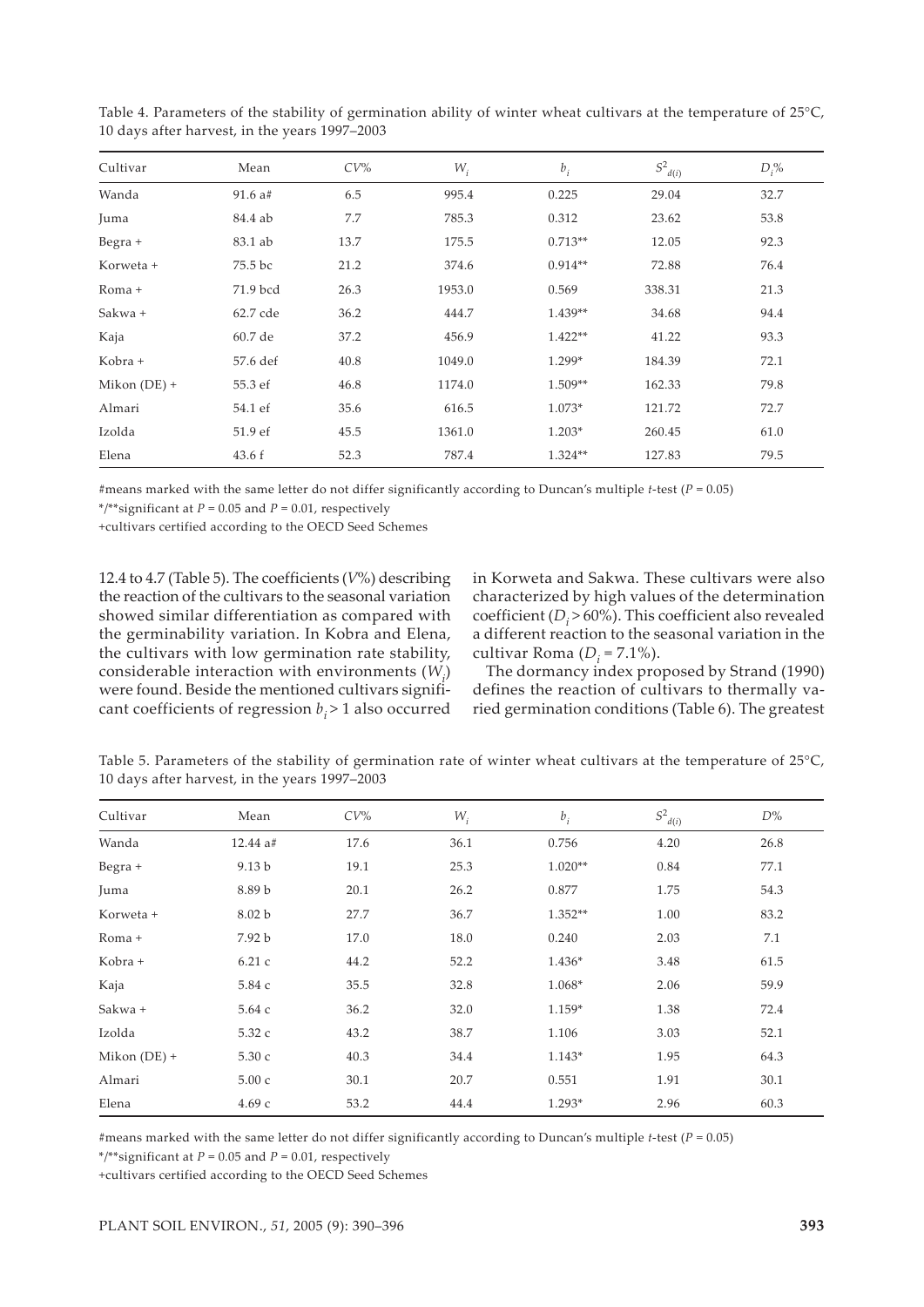| Cultivar       | Mean      | $CV\%$ | $W_i$  | $b_i$     | $S^2_{\underline{d}(i)}$ | $D_i$ % |
|----------------|-----------|--------|--------|-----------|--------------------------|---------|
| Wanda          | $91.6$ a# | 6.5    | 995.4  | 0.225     | 29.04                    | 32.7    |
| Juma           | 84.4 ab   | 7.7    | 785.3  | 0.312     | 23.62                    | 53.8    |
| $Begra +$      | 83.1 ab   | 13.7   | 175.5  | $0.713**$ | 12.05                    | 92.3    |
| Korweta +      | 75.5 bc   | 21.2   | 374.6  | $0.914**$ | 72.88                    | 76.4    |
| Roma +         | 71.9 bcd  | 26.3   | 1953.0 | 0.569     | 338.31                   | 21.3    |
| Sakwa +        | 62.7 cde  | 36.2   | 444.7  | 1.439**   | 34.68                    | 94.4    |
| Kaja           | 60.7 de   | 37.2   | 456.9  | 1.422**   | 41.22                    | 93.3    |
| Kobra +        | 57.6 def  | 40.8   | 1049.0 | 1.299*    | 184.39                   | 72.1    |
| Mikon $(DE) +$ | 55.3 ef   | 46.8   | 1174.0 | 1.509**   | 162.33                   | 79.8    |
| Almari         | 54.1 ef   | 35.6   | 616.5  | 1.073*    | 121.72                   | 72.7    |
| Izolda         | 51.9 ef   | 45.5   | 1361.0 | 1.203*    | 260.45                   | 61.0    |
| Elena          | 43.6 f    | 52.3   | 787.4  | $1.324**$ | 127.83                   | 79.5    |

Table 4. Parameters of the stability of germination ability of winter wheat cultivars at the temperature of 25°C, 10 days after harvest, in the years 1997–2003

#means marked with the same letter do not differ significantly according to Duncan's multiple *t*-test (*P* = 0.05)

\*/\*\*significant at *P* = 0.05 and *P* = 0.01, respectively

+cultivars certified according to the OECD Seed Schemes

12.4 to 4.7 (Table 5). The coefficients (*V*%) describing the reaction of the cultivars to the seasonal variation showed similar differentiation as compared with the germinability variation. In Kobra and Elena, the cultivars with low germination rate stability, considerable interaction with environments  $(W_i)$ were found. Beside the mentioned cultivars significant coefficients of regression  $b_i$  > 1 also occurred

in Korweta and Sakwa. These cultivars were also characterized by high values of the determination coefficient (*D<sub>i</sub>* > 60%). This coefficient also revealed a different reaction to the seasonal variation in the cultivar Roma  $(D_i = 7.1\%)$ .

The dormancy index proposed by Strand (1990) defines the reaction of cultivars to thermally varied germination conditions (Table 6). The greatest

Table 5. Parameters of the stability of germination rate of winter wheat cultivars at the temperature of 25°C, 10 days after harvest, in the years 1997–2003

| Cultivar       | Mean              | $CV\%$ | $W_i$ | $b_i$     | $S^2_{\ d(i)}$ | $D\%$ |
|----------------|-------------------|--------|-------|-----------|----------------|-------|
| Wanda          | 12.44 a#          | 17.6   | 36.1  | 0.756     | 4.20           | 26.8  |
| Begra +        | 9.13 <sub>b</sub> | 19.1   | 25.3  | $1.020**$ | 0.84           | 77.1  |
| Juma           | 8.89 b            | 20.1   | 26.2  | 0.877     | 1.75           | 54.3  |
| Korweta +      | 8.02 b            | 27.7   | 36.7  | 1.352**   | 1.00           | 83.2  |
| Roma +         | 7.92 b            | 17.0   | 18.0  | 0.240     | 2.03           | 7.1   |
| Kobra +        | 6.21c             | 44.2   | 52.2  | 1.436*    | 3.48           | 61.5  |
| Kaja           | 5.84 с            | 35.5   | 32.8  | 1.068*    | 2.06           | 59.9  |
| Sakwa +        | 5.64 с            | 36.2   | 32.0  | 1.159*    | 1.38           | 72.4  |
| Izolda         | 5.32 с            | 43.2   | 38.7  | 1.106     | 3.03           | 52.1  |
| Mikon $(DE) +$ | 5.30 с            | 40.3   | 34.4  | $1.143*$  | 1.95           | 64.3  |
| Almari         | 5.00c             | 30.1   | 20.7  | 0.551     | 1.91           | 30.1  |
| Elena          | 4.69c             | 53.2   | 44.4  | $1.293*$  | 2.96           | 60.3  |

#means marked with the same letter do not differ significantly according to Duncan's multiple *t*-test (*P* = 0.05)

\*/\*\*significant at *P* = 0.05 and *P* = 0.01, respectively

+cultivars certified according to the OECD Seed Schemes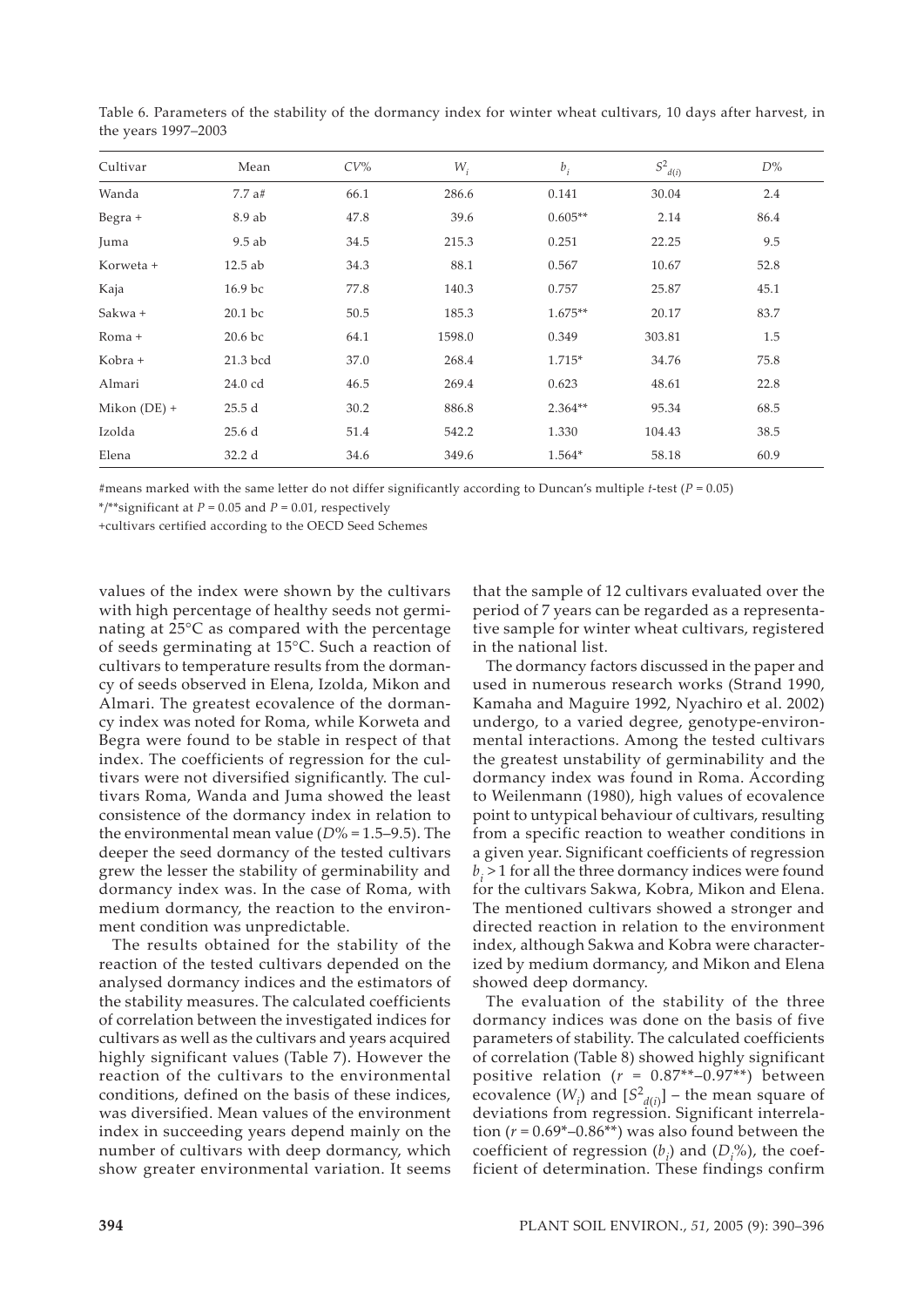| Cultivar       | Mean     | $CV\%$ | $W_i$  | $b_i$     | $S^2_{\ d(i)}$ | $D\%$ |
|----------------|----------|--------|--------|-----------|----------------|-------|
| Wanda          | 7.7a#    | 66.1   | 286.6  | 0.141     | 30.04          | 2.4   |
| Begra +        | 8.9 ab   | 47.8   | 39.6   | $0.605**$ | 2.14           | 86.4  |
| Juma           | $9.5$ ab | 34.5   | 215.3  | 0.251     | 22.25          | 9.5   |
| Korweta +      | 12.5 ab  | 34.3   | 88.1   | 0.567     | 10.67          | 52.8  |
| Kaja           | 16.9 bc  | 77.8   | 140.3  | 0.757     | 25.87          | 45.1  |
| Sakwa +        | 20.1 bc  | 50.5   | 185.3  | $1.675**$ | 20.17          | 83.7  |
| Roma +         | 20.6 bc  | 64.1   | 1598.0 | 0.349     | 303.81         | 1.5   |
| Kobra +        | 21.3 bcd | 37.0   | 268.4  | 1.715*    | 34.76          | 75.8  |
| Almari         | 24.0 cd  | 46.5   | 269.4  | 0.623     | 48.61          | 22.8  |
| Mikon $(DE) +$ | 25.5d    | 30.2   | 886.8  | $2.364**$ | 95.34          | 68.5  |
| Izolda         | 25.6d    | 51.4   | 542.2  | 1.330     | 104.43         | 38.5  |
| Elena          | 32.2 d   | 34.6   | 349.6  | 1.564*    | 58.18          | 60.9  |

Table 6. Parameters of the stability of the dormancy index for winter wheat cultivars, 10 days after harvest, in the years 1997–2003

#means marked with the same letter do not differ significantly according to Duncan's multiple *t*-test (*P* = 0.05)

\*/\*\*significant at *P* = 0.05 and *P* = 0.01, respectively

+cultivars certified according to the OECD Seed Schemes

values of the index were shown by the cultivars with high percentage of healthy seeds not germinating at 25°C as compared with the percentage of seeds germinating at 15°C. Such a reaction of cultivars to temperature results from the dormancy of seeds observed in Elena, Izolda, Mikon and Almari. The greatest ecovalence of the dormancy index was noted for Roma, while Korweta and Begra were found to be stable in respect of that index. The coefficients of regression for the cultivars were not diversified significantly. The cultivars Roma, Wanda and Juma showed the least consistence of the dormancy index in relation to the environmental mean value (*D*% = 1.5–9.5). The deeper the seed dormancy of the tested cultivars grew the lesser the stability of germinability and dormancy index was. In the case of Roma, with medium dormancy, the reaction to the environment condition was unpredictable.

The results obtained for the stability of the reaction of the tested cultivars depended on the analysed dormancy indices and the estimators of the stability measures. The calculated coefficients of correlation between the investigated indices for cultivars as well as the cultivars and years acquired highly significant values (Table 7). However the reaction of the cultivars to the environmental conditions, defined on the basis of these indices, was diversified. Mean values of the environment index in succeeding years depend mainly on the number of cultivars with deep dormancy, which show greater environmental variation. It seems

that the sample of 12 cultivars evaluated over the period of 7 years can be regarded as a representative sample for winter wheat cultivars, registered in the national list.

The dormancy factors discussed in the paper and used in numerous research works (Strand 1990, Kamaha and Maguire 1992, Nyachiro et al. 2002) undergo, to a varied degree, genotype-environmental interactions. Among the tested cultivars the greatest unstability of germinability and the dormancy index was found in Roma. According to Weilenmann (1980), high values of ecovalence point to untypical behaviour of cultivars, resulting from a specific reaction to weather conditions in a given year. Significant coefficients of regression  $b_i$  > 1 for all the three dormancy indices were found for the cultivars Sakwa, Kobra, Mikon and Elena. The mentioned cultivars showed a stronger and directed reaction in relation to the environment index, although Sakwa and Kobra were characterized by medium dormancy, and Mikon and Elena showed deep dormancy.

The evaluation of the stability of the three dormancy indices was done on the basis of five parameters of stability. The calculated coefficients of correlation (Table 8) showed highly significant positive relation  $(r = 0.87^{**}-0.97^{**})$  between ecovalence  $(W_i)$  and  $[S^2_{d(i)}]$  – the mean square of deviations from regression. Significant interrelation ( $r = 0.69^*$ –0.86<sup>\*\*</sup>) was also found between the coefficient of regression  $(b_i)$  and  $(D_i^{\circ\circ})$ , the coefficient of determination. These findings confirm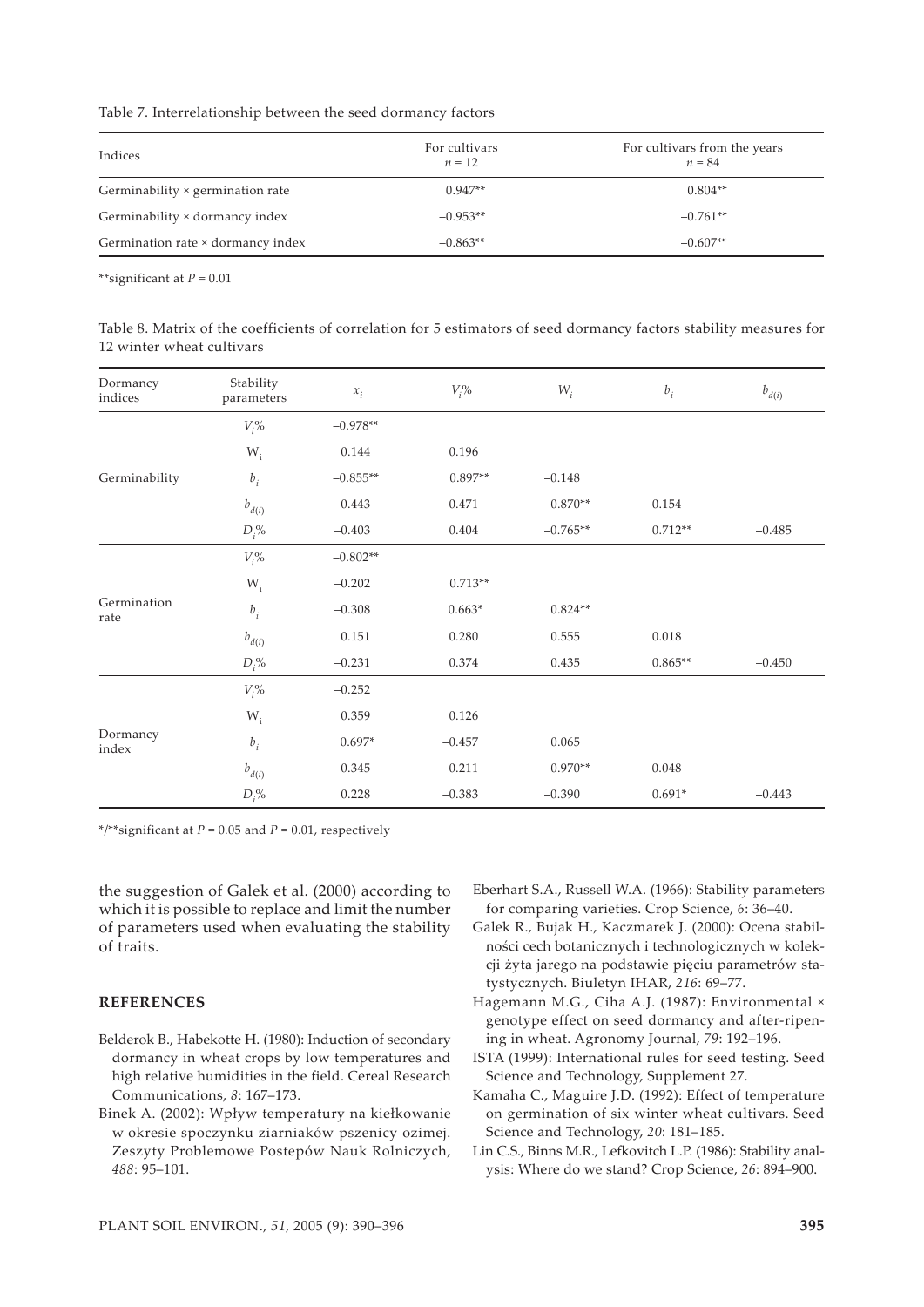Table 7. Interrelationship between the seed dormancy factors

| Indices                           | For cultivars<br>$n = 12$ | For cultivars from the years<br>$n = 84$ |
|-----------------------------------|---------------------------|------------------------------------------|
| Germinability × germination rate  | $0.947**$                 | $0.804**$                                |
| Germinability × dormancy index    | $-0.953**$                | $-0.761**$                               |
| Germination rate × dormancy index | $-0.863**$                | $-0.607**$                               |

\*\*significant at *P* = 0.01

Table 8. Matrix of the coefficients of correlation for 5 estimators of seed dormancy factors stability measures for 12 winter wheat cultivars

| Dormancy<br>indices | Stability<br>parameters   | $x_i$      | $V_i$ %   | $W_i$      | $b_i$     | $b_{d(i)}$ |
|---------------------|---------------------------|------------|-----------|------------|-----------|------------|
|                     | $V_i$ %                   | $-0.978**$ |           |            |           |            |
|                     | $\mathsf{W}_{\mathsf{i}}$ | 0.144      | 0.196     |            |           |            |
| Germinability       | $b_i$                     | $-0.855**$ | $0.897**$ | $-0.148$   |           |            |
|                     | $b_{d(i)}$                | $-0.443$   | 0.471     | $0.870**$  | 0.154     |            |
|                     | $D_i$ %                   | $-0.403$   | 0.404     | $-0.765**$ | $0.712**$ | $-0.485$   |
|                     | $V_i$ %                   | $-0.802**$ |           |            |           |            |
|                     | $W_i$                     | $-0.202$   | $0.713**$ |            |           |            |
| Germination<br>rate | $b_i$                     | $-0.308$   | $0.663*$  | $0.824**$  |           |            |
|                     | $b_{d(i)}$                | 0.151      | 0.280     | 0.555      | 0.018     |            |
|                     | $D_i$ %                   | $-0.231$   | 0.374     | 0.435      | $0.865**$ | $-0.450$   |
|                     | $V_i$ %                   | $-0.252$   |           |            |           |            |
| Dormancy<br>index   | $\mathsf{W}_{\mathsf{i}}$ | 0.359      | 0.126     |            |           |            |
|                     | $b_i$                     | $0.697*$   | $-0.457$  | 0.065      |           |            |
|                     | $b_{d(i)}$                | 0.345      | 0.211     | $0.970**$  | $-0.048$  |            |
|                     | $D_i$ %                   | 0.228      | $-0.383$  | $-0.390$   | $0.691*$  | $-0.443$   |

\*/\*\*significant at *P* = 0.05 and *P* = 0.01, respectively

the suggestion of Galek et al. (2000) according to which it is possible to replace and limit the number of parameters used when evaluating the stability of traits.

### **REFERENCES**

- Belderok B., Habekotte H. (1980): Induction of secondary dormancy in wheat crops by low temperatures and high relative humidities in the field. Cereal Research Communications, *8*: 167–173.
- Binek A. (2002): Wpływ temperatury na kiełkowanie w okresie spoczynku ziarniaków pszenicy ozimej. Zeszyty Problemowe Postepów Nauk Rolniczych, *488*: 95–101.
- Eberhart S.A., Russell W.A. (1966): Stability parameters for comparing varieties. Crop Science, *6*: 36–40.
- Galek R., Bujak H., Kaczmarek J. (2000): Ocena stabilności cech botanicznych i technologicznych w kolekcji żyta jarego na podstawie pięciu parametrów statystycznych. Biuletyn IHAR, *216*: 69–77.
- Hagemann M.G., Ciha A.J. (1987): Environmental × genotype effect on seed dormancy and after-ripening in wheat. Agronomy Journal, *79*: 192–196.
- ISTA (1999): International rules for seed testing. Seed Science and Technology, Supplement 27.
- Kamaha C., Maguire J.D. (1992): Effect of temperature on germination of six winter wheat cultivars. Seed Science and Technology, *20*: 181–185.
- Lin C.S., Binns M.R., Lefkovitch L.P. (1986): Stability analysis: Where do we stand? Crop Science, *26*: 894–900.